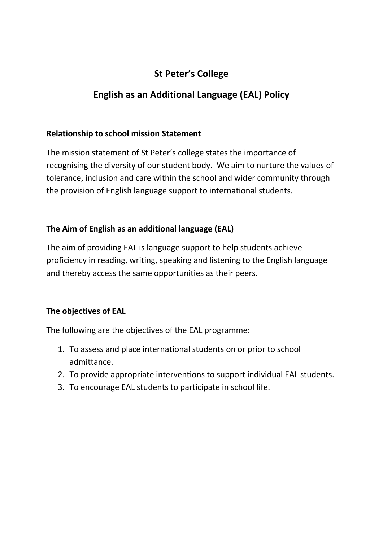# **St Peter's College**

# **English as an Additional Language (EAL) Policy**

### **Relationship to school mission Statement**

The mission statement of St Peter's college states the importance of recognising the diversity of our student body. We aim to nurture the values of tolerance, inclusion and care within the school and wider community through the provision of English language support to international students.

## **The Aim of English as an additional language (EAL)**

The aim of providing EAL is language support to help students achieve proficiency in reading, writing, speaking and listening to the English language and thereby access the same opportunities as their peers.

## **The objectives of EAL**

The following are the objectives of the EAL programme:

- 1. To assess and place international students on or prior to school admittance.
- 2. To provide appropriate interventions to support individual EAL students.
- 3. To encourage EAL students to participate in school life.